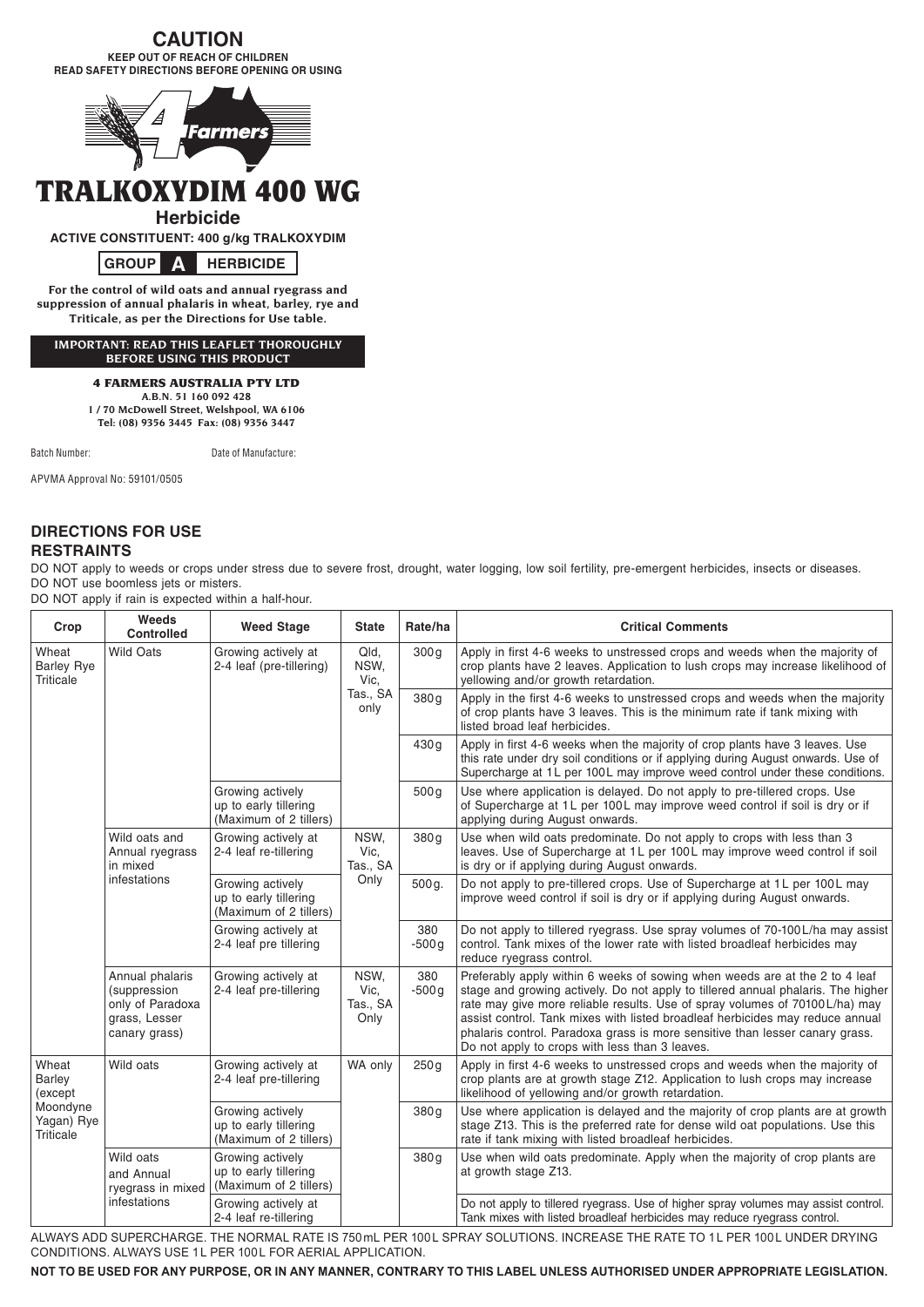# **CAUTION**

**KEEP OUT OF REACH OF CHILDREN READ SAFETY DIRECTIONS BEFORE OPENING OR USING**



# TRALKOXYDIM 400 WG

**Herbicide**

**ACTIVE CONSTITUENT: 400 g/kg TRALKOXYDIM**



**For the control of wild oats and annual ryegrass and suppression of annual phalaris in wheat, barley, rye and Triticale, as per the Directions for Use table.**

**IMPORTANT: READ THIS LEAFLET THOROUGHLY BEFORE USING THIS PRODUCT**

## 4 FARMERS AUSTRALIA PTY LTD

**A.B.N. 51 160 092 428 1 / 70 McDowell Street, Welshpool, WA 6106 Tel: (08) 9356 3445 Fax: (08) 9356 3447**

Batch Number: Date of Manufacture:

APVMA Approval No: 59101/0505

# **DIRECTIONS FOR USE RESTRAINTS**

DO NOT apply to weeds or crops under stress due to severe frost, drought, water logging, low soil fertility, pre-emergent herbicides, insects or diseases. DO NOT use boomless jets or misters.

DO NOT apply if rain is expected within a half-hour.

| Crop                                                                     | Weeds<br><b>Controlled</b>                                                            | <b>Weed Stage</b>                                                   | <b>State</b>                             | Rate/ha          | <b>Critical Comments</b>                                                                                                                                                                                                                                                                                                                                                                                                                                          |
|--------------------------------------------------------------------------|---------------------------------------------------------------------------------------|---------------------------------------------------------------------|------------------------------------------|------------------|-------------------------------------------------------------------------------------------------------------------------------------------------------------------------------------------------------------------------------------------------------------------------------------------------------------------------------------------------------------------------------------------------------------------------------------------------------------------|
| Wheat<br><b>Barley Rye</b><br><b>Triticale</b>                           | <b>Wild Oats</b>                                                                      | Growing actively at<br>2-4 leaf (pre-tillering)                     | Qld,<br>NSW,<br>Vic.<br>Tas., SA<br>only | 300q             | Apply in first 4-6 weeks to unstressed crops and weeds when the majority of<br>crop plants have 2 leaves. Application to lush crops may increase likelihood of<br>yellowing and/or growth retardation.                                                                                                                                                                                                                                                            |
|                                                                          |                                                                                       |                                                                     |                                          | 380g             | Apply in the first 4-6 weeks to unstressed crops and weeds when the majority<br>of crop plants have 3 leaves. This is the minimum rate if tank mixing with<br>listed broad leaf herbicides.                                                                                                                                                                                                                                                                       |
|                                                                          |                                                                                       |                                                                     |                                          | 430g             | Apply in first 4-6 weeks when the majority of crop plants have 3 leaves. Use<br>this rate under dry soil conditions or if applying during August onwards. Use of<br>Supercharge at 1L per 100L may improve weed control under these conditions.                                                                                                                                                                                                                   |
|                                                                          |                                                                                       | Growing actively<br>up to early tillering<br>(Maximum of 2 tillers) |                                          | 500 <sub>g</sub> | Use where application is delayed. Do not apply to pre-tillered crops. Use<br>of Supercharge at 1L per 100L may improve weed control if soil is dry or if<br>applying during August onwards.                                                                                                                                                                                                                                                                       |
|                                                                          | Wild oats and<br>Annual ryegrass<br>in mixed<br>infestations                          | Growing actively at<br>2-4 leaf re-tillering                        | NSW,<br>Vic,<br>Tas., SA<br>Only         | 380q             | Use when wild oats predominate. Do not apply to crops with less than 3<br>leaves. Use of Supercharge at 1L per 100L may improve weed control if soil<br>is dry or if applying during August onwards.                                                                                                                                                                                                                                                              |
|                                                                          |                                                                                       | Growing actively<br>up to early tillering<br>(Maximum of 2 tillers) |                                          | 500 g.           | Do not apply to pre-tillered crops. Use of Supercharge at 1L per 100L may<br>improve weed control if soil is dry or if applying during August onwards.                                                                                                                                                                                                                                                                                                            |
|                                                                          |                                                                                       | Growing actively at<br>2-4 leaf pre tillering                       |                                          | 380<br>$-500g$   | Do not apply to tillered ryegrass. Use spray volumes of 70-100L/ha may assist<br>control. Tank mixes of the lower rate with listed broadleaf herbicides may<br>reduce ryegrass control.                                                                                                                                                                                                                                                                           |
|                                                                          | Annual phalaris<br>(suppression<br>only of Paradoxa<br>grass, Lesser<br>canary grass) | Growing actively at<br>2-4 leaf pre-tillering                       | NSW,<br>Vic.<br>Tas., SA<br>Only         | 380<br>$-500q$   | Preferably apply within 6 weeks of sowing when weeds are at the 2 to 4 leaf<br>stage and growing actively. Do not apply to tillered annual phalaris. The higher<br>rate may give more reliable results. Use of spray volumes of 70100L/ha) may<br>assist control. Tank mixes with listed broadleaf herbicides may reduce annual<br>phalaris control. Paradoxa grass is more sensitive than lesser canary grass.<br>Do not apply to crops with less than 3 leaves. |
| Wheat<br>Barley<br>(except<br>Moondyne<br>Yagan) Rye<br><b>Triticale</b> | Wild oats                                                                             | Growing actively at<br>2-4 leaf pre-tillering                       | WA only                                  | 250q             | Apply in first 4-6 weeks to unstressed crops and weeds when the majority of<br>crop plants are at growth stage Z12. Application to lush crops may increase<br>likelihood of yellowing and/or growth retardation.                                                                                                                                                                                                                                                  |
|                                                                          |                                                                                       | Growing actively<br>up to early tillering<br>(Maximum of 2 tillers) |                                          | 380g             | Use where application is delayed and the majority of crop plants are at growth<br>stage Z13. This is the preferred rate for dense wild oat populations. Use this<br>rate if tank mixing with listed broadleaf herbicides.                                                                                                                                                                                                                                         |
|                                                                          | Wild oats<br>and Annual<br>ryegrass in mixed<br>infestations                          | Growing actively<br>up to early tillering<br>(Maximum of 2 tillers) |                                          | 380g             | Use when wild oats predominate. Apply when the majority of crop plants are<br>at growth stage Z13.                                                                                                                                                                                                                                                                                                                                                                |
|                                                                          |                                                                                       | Growing actively at<br>2-4 leaf re-tillering                        |                                          |                  | Do not apply to tillered ryegrass. Use of higher spray volumes may assist control.<br>Tank mixes with listed broadleaf herbicides may reduce ryegrass control.                                                                                                                                                                                                                                                                                                    |

ALWAYS ADD SUPERCHARGE. THE NORMAL RATE IS 750mL PER 100L SPRAY SOLUTIONS. INCREASE THE RATE TO 1L PER 100L UNDER DRYING CONDITIONS. ALWAYS USE 1L PER 100L FOR AERIAL APPLICATION.

**NOT TO BE USED FOR ANY PURPOSE, OR IN ANY MANNER, CONTRARY TO THIS LABEL UNLESS AUTHORISED UNDER APPROPRIATE LEGISLATION.**